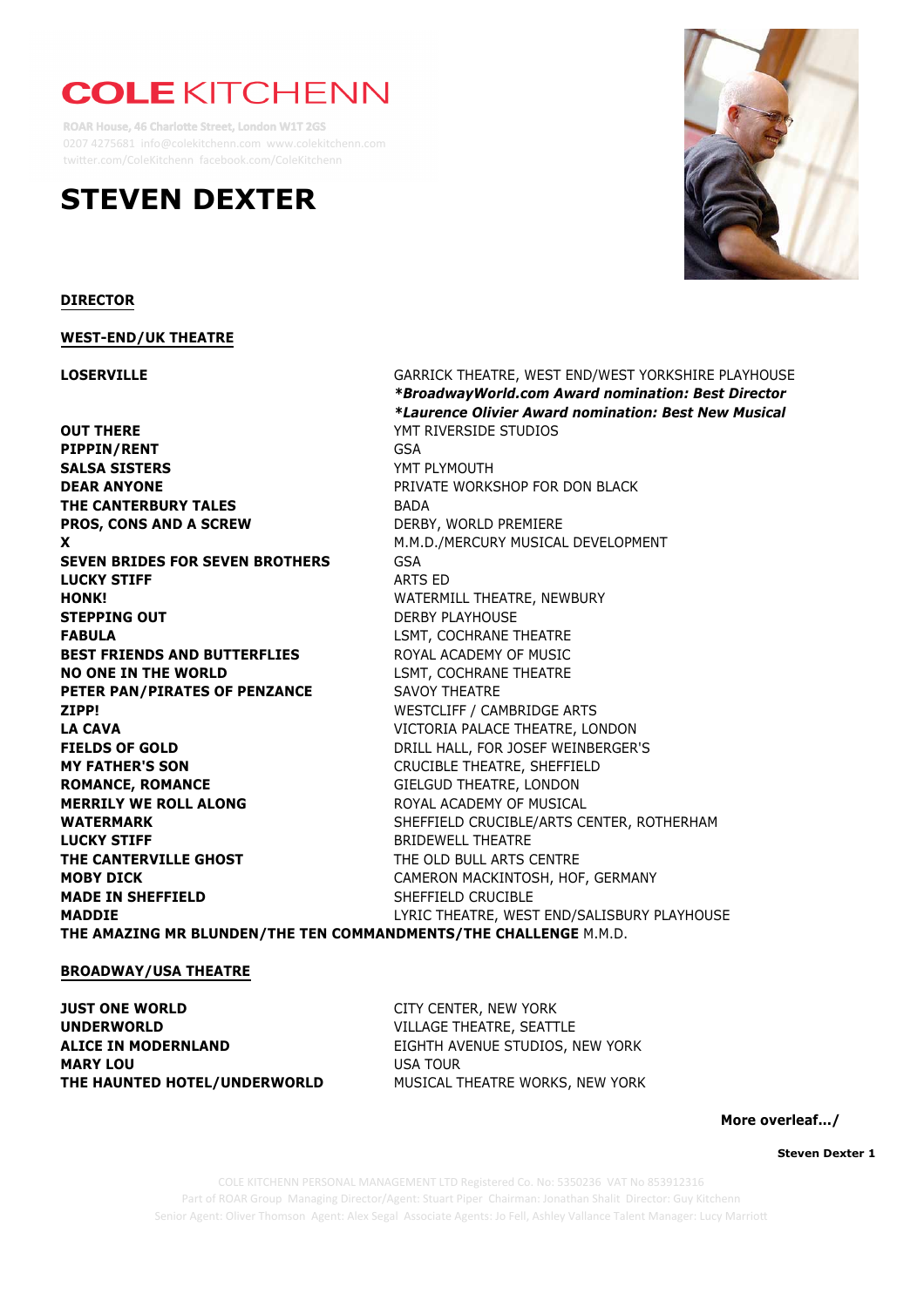# **COLE KITCHENN**

**ROAR House, 46 Charlotte Street, London W1T 2GS** 0207 4275681 info@colekitchenn.com www.colekitchenn.com twitter.com/ColeKitchenn facebook.com/ColeKitchenn

## **STEVEN DEXTER**



**Steven Dexter 1**

Part of ROAR Group Managing Director/Agent: Stuart Piper Chairman: Jonathan Shalit Director: Guy Kitchenn COLE KITCHENN PERSONAL MANAGEMENT LTD Registered Co. No: 5350236 VAT No 853912316 Senior Agent: Oliver Thomson Agent: Alex Segal Associate Agents: Jo Fell, Ashley Vallance Talent Manager: Lucy Marriott